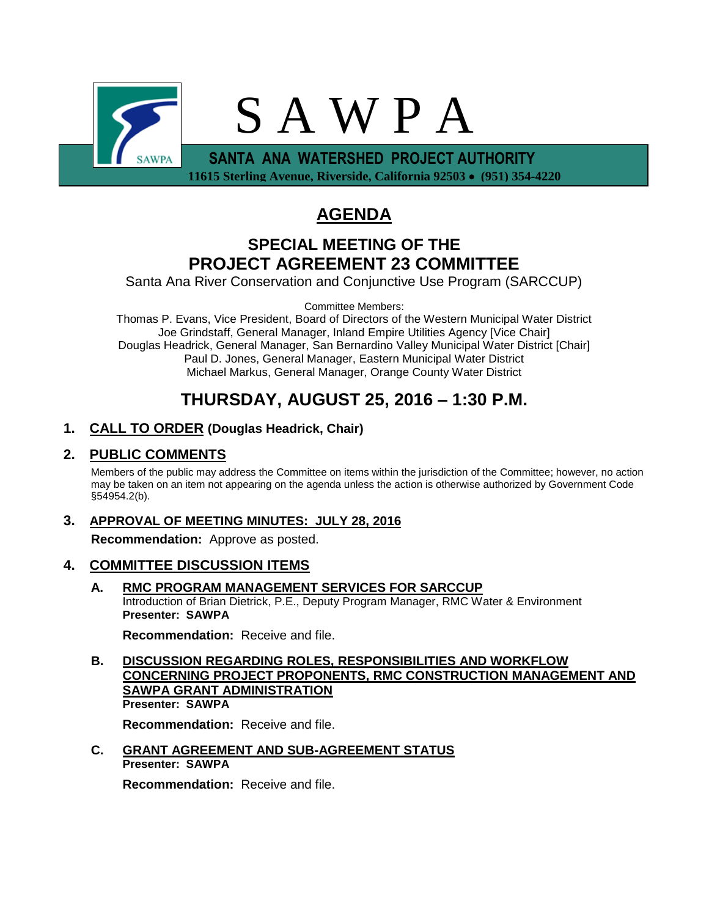

**AGENDA**

# **SPECIAL MEETING OF THE PROJECT AGREEMENT 23 COMMITTEE**

Santa Ana River Conservation and Conjunctive Use Program (SARCCUP)

Committee Members:

Thomas P. Evans, Vice President, Board of Directors of the Western Municipal Water District Joe Grindstaff, General Manager, Inland Empire Utilities Agency [Vice Chair] Douglas Headrick, General Manager, San Bernardino Valley Municipal Water District [Chair] Paul D. Jones, General Manager, Eastern Municipal Water District Michael Markus, General Manager, Orange County Water District

# **THURSDAY, AUGUST 25, 2016 – 1:30 P.M.**

# **1. CALL TO ORDER (Douglas Headrick, Chair)**

# **2. PUBLIC COMMENTS**

Members of the public may address the Committee on items within the jurisdiction of the Committee; however, no action may be taken on an item not appearing on the agenda unless the action is otherwise authorized by Government Code §54954.2(b).

**3. APPROVAL OF MEETING MINUTES: JULY 28, 2016 Recommendation:** Approve as posted.

# **4. COMMITTEE DISCUSSION ITEMS**

**A. RMC PROGRAM MANAGEMENT SERVICES FOR SARCCUP** Introduction of Brian Dietrick, P.E., Deputy Program Manager, RMC Water & Environment **Presenter: SAWPA**

**Recommendation:** Receive and file.

**B. DISCUSSION REGARDING ROLES, RESPONSIBILITIES AND WORKFLOW CONCERNING PROJECT PROPONENTS, RMC CONSTRUCTION MANAGEMENT AND SAWPA GRANT ADMINISTRATION Presenter: SAWPA**

**Recommendation:** Receive and file.

**C. GRANT AGREEMENT AND SUB-AGREEMENT STATUS Presenter: SAWPA**

**Recommendation:** Receive and file.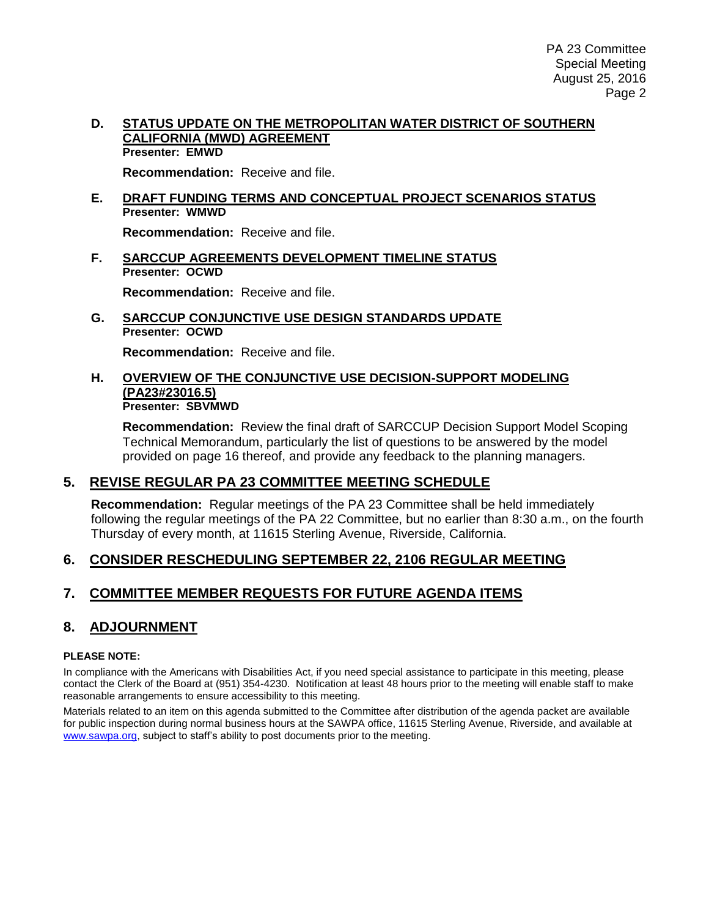#### **D. STATUS UPDATE ON THE METROPOLITAN WATER DISTRICT OF SOUTHERN CALIFORNIA (MWD) AGREEMENT Presenter: EMWD**

**Recommendation:** Receive and file.

#### **E. DRAFT FUNDING TERMS AND CONCEPTUAL PROJECT SCENARIOS STATUS Presenter: WMWD**

**Recommendation:** Receive and file.

**F. SARCCUP AGREEMENTS DEVELOPMENT TIMELINE STATUS Presenter: OCWD**

**Recommendation:** Receive and file.

**G. SARCCUP CONJUNCTIVE USE DESIGN STANDARDS UPDATE Presenter: OCWD**

**Recommendation:** Receive and file.

#### **H. OVERVIEW OF THE CONJUNCTIVE USE DECISION-SUPPORT MODELING (PA23#23016.5) Presenter: SBVMWD**

**Recommendation:** Review the final draft of SARCCUP Decision Support Model Scoping Technical Memorandum, particularly the list of questions to be answered by the model provided on page 16 thereof, and provide any feedback to the planning managers.

# **5. REVISE REGULAR PA 23 COMMITTEE MEETING SCHEDULE**

**Recommendation:** Regular meetings of the PA 23 Committee shall be held immediately following the regular meetings of the PA 22 Committee, but no earlier than 8:30 a.m., on the fourth Thursday of every month, at 11615 Sterling Avenue, Riverside, California.

# **6. CONSIDER RESCHEDULING SEPTEMBER 22, 2106 REGULAR MEETING**

# **7. COMMITTEE MEMBER REQUESTS FOR FUTURE AGENDA ITEMS**

# **8. ADJOURNMENT**

#### **PLEASE NOTE:**

In compliance with the Americans with Disabilities Act, if you need special assistance to participate in this meeting, please contact the Clerk of the Board at (951) 354-4230. Notification at least 48 hours prior to the meeting will enable staff to make reasonable arrangements to ensure accessibility to this meeting.

Materials related to an item on this agenda submitted to the Committee after distribution of the agenda packet are available for public inspection during normal business hours at the SAWPA office, 11615 Sterling Avenue, Riverside, and available at [www.sawpa.org,](http://www.sawpa.org/) subject to staff's ability to post documents prior to the meeting.